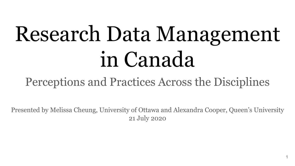# Research Data Management in Canada

### Perceptions and Practices Across the Disciplines

Presented by Melissa Cheung, University of Ottawa and Alexandra Cooper, Queen's University 21 July 2020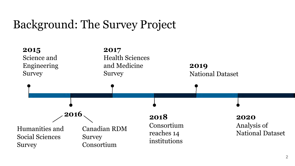#### Background: The Survey Project

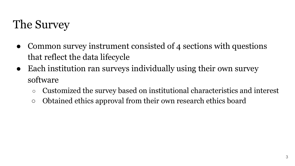#### The Survey

- Common survey instrument consisted of 4 sections with questions that reflect the data lifecycle
- Each institution ran surveys individually using their own survey software
	- Customized the survey based on institutional characteristics and interest
	- Obtained ethics approval from their own research ethics board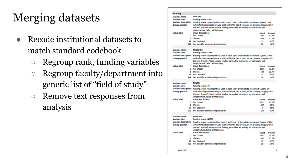### Merging datasets

- Recode institutional datasets to match standard codebook
	- Regroup rank, funding variables
	- Regroup faculty/department into generic list of "field of study"
	- Remove text responses from analysis

| <b>Funding</b>              |                                                                                              |             |  |  |
|-----------------------------|----------------------------------------------------------------------------------------------|-------------|--|--|
| Variable name               | <b>FUNCIHR</b>                                                                               |             |  |  |
| <b>Variable label</b>       | <b>Funding source: CIHR</b>                                                                  |             |  |  |
| <b>Variable description</b> | Funding source respondent has used in last 5 years or intends to use in next 5 years: CIHR   |             |  |  |
| <b>Survey question</b>      | Which funding sources have you used within the past 5 years, or are planning to apply for in |             |  |  |
|                             | the next 5 years? Please exclude funding earmarked exclusively for operations and            |             |  |  |
|                             | infrastructure. Select all that apply:                                                       |             |  |  |
| <b>Value label</b>          | <b>Value description</b><br>Count                                                            | Percent     |  |  |
|                             | 0 Not Chosen<br>2164                                                                         | 81.4%       |  |  |
|                             | 1 Chosen<br>455                                                                              | 17.1%       |  |  |
|                             | 99 Not Declared<br>13                                                                        | 0.5%        |  |  |
|                             | 999 Not asked by administering institution<br>26                                             | 1.0%        |  |  |
| Variable name               | <b>FUNSSHRC</b>                                                                              |             |  |  |
| Variable label              | <b>Funding source: SSHRC</b>                                                                 |             |  |  |
| <b>Variable description</b> | Funding source respondent has used in last 5 years or intends to use in next 5 years: SSHRC  |             |  |  |
| <b>Survey question</b>      | Which funding sources have you used within the past 5 years, or are planning to apply for in |             |  |  |
|                             | the next 5 years? Please exclude funding earmarked exclusively for operations and            |             |  |  |
|                             | infrastructure. Select all that apply:                                                       |             |  |  |
| <b>Value label</b>          | <b>Value description</b><br>Count                                                            | Percent     |  |  |
|                             | 0 Not Chosen<br>1936                                                                         | 72.8%       |  |  |
|                             | 1 Chosen<br>683                                                                              | 25.7%       |  |  |
|                             | 99 Not Declared<br>13                                                                        | 0.5%        |  |  |
| 999                         | Not asked by administering institution<br>26                                                 | 1.0%        |  |  |
|                             |                                                                                              |             |  |  |
| Variable name               | <b>FUNCFI</b>                                                                                |             |  |  |
| <b>Variable label</b>       | <b>Funding source: CFI</b>                                                                   |             |  |  |
| <b>Variable description</b> | Funding source respondent has used in last 5 years or intends to use in next 5 years: CFI    |             |  |  |
| <b>Survey question</b>      | Which funding sources have you used within the past 5 years, or are planning to apply for in |             |  |  |
|                             | the next 5 years? Please exclude funding earmarked exclusively for operations and            |             |  |  |
|                             | infrastructure. Select all that apply:                                                       |             |  |  |
| <b>Value label</b>          | <b>Value description</b><br>Count                                                            | Percent     |  |  |
|                             | 0 Not Chosen<br>2211                                                                         | 83.2%       |  |  |
|                             | 1 Chosen<br>227                                                                              | <b>R 5%</b> |  |  |
|                             | 99 Not Declared<br>1                                                                         | 0.0%        |  |  |
|                             | 999 Not asked by administering institution<br>219                                            | 8.2%        |  |  |
| Variable name               | <b>FUNNSERC</b>                                                                              |             |  |  |
| Variable label              | <b>Funding source: NSERC</b>                                                                 |             |  |  |
| <b>Variable description</b> | Funding source respondent has used in last 5 years or intends to use in next 5 years: NSERC  |             |  |  |
| <b>Survey question</b>      | Which funding sources have you used within the past 5 years, or are planning to apply for in |             |  |  |
|                             | the next 5 years? Please exclude funding earmarked exclusively for operations and            |             |  |  |
|                             | infrastructure. Select all that apply:                                                       |             |  |  |
| <b>Value label</b>          | <b>Value description</b><br>Count                                                            | Percent     |  |  |
|                             | 0 Not Chosen<br>1987                                                                         | 74.8%       |  |  |
|                             | 1 Chosen<br>632                                                                              | 23.8%       |  |  |
|                             | 99 Not Declared<br>13                                                                        | 0.5%        |  |  |
|                             |                                                                                              |             |  |  |
|                             | 999 Not asked by administering institution<br>26                                             | 1.0%        |  |  |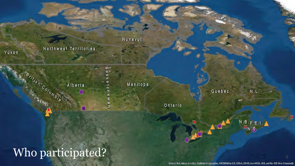Northwest Territories

Yukon

Alberta

Manitoba

Nunavut

<u>ທ-</u>

e<br>O

Ontario

#### Who participated?

Ishe Columbia

Quebec

 $N.L.$ 

 $N.B.p.E.I.A.$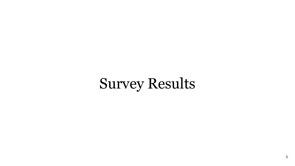## Survey Results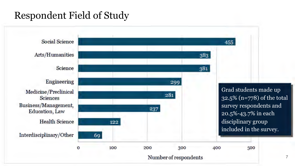#### Respondent Field of Study

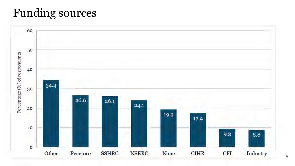#### Funding sources

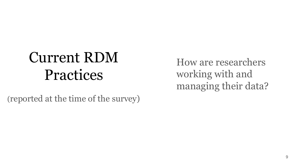## Current RDM Practices

(reported at the time of the survey)

How are researchers working with and managing their data?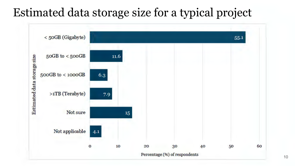#### Estimated data storage size for a typical project

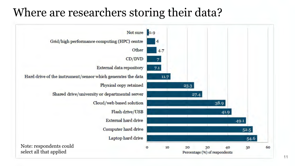#### Where are researchers storing their data?

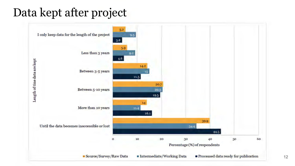#### Data kept after project

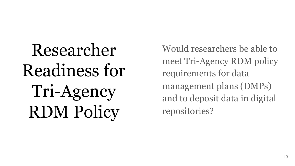Researcher Readiness for Tri-Agency RDM Policy

Would researchers be able to meet Tri-Agency RDM policy requirements for data management plans (DMPs) and to deposit data in digital repositories?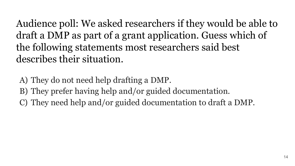Audience poll: We asked researchers if they would be able to draft a DMP as part of a grant application. Guess which of the following statements most researchers said best describes their situation.

A) They do not need help drafting a DMP.

B) They prefer having help and/or guided documentation.

C) They need help and/or guided documentation to draft a DMP.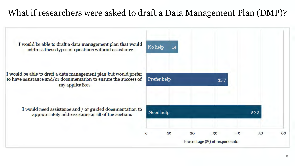#### What if researchers were asked to draft a Data Management Plan (DMP)?

I would be able to draft a data management plan that would address these types of questions without assistance

I would be able to draft a data management plan but would prefer to have assistance and/or documentation to ensure the success of my application

> I would need assistance and / or guided documentation to appropriately address some or all of the sections

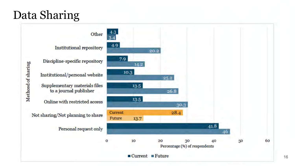#### Data Sharing

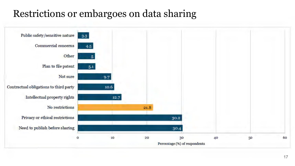#### Restrictions or embargoes on data sharing

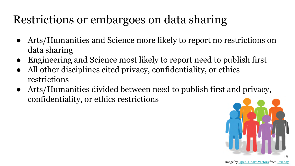### Restrictions or embargoes on data sharing

- Arts/Humanities and Science more likely to report no restrictions on data sharing
- Engineering and Science most likely to report need to publish first
- All other disciplines cited privacy, confidentiality, or ethics restrictions
- Arts/Humanities divided between need to publish first and privacy, confidentiality, or ethics restrictions

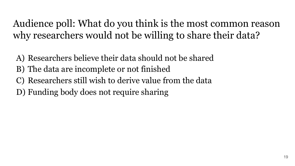Audience poll: What do you think is the most common reason why researchers would not be willing to share their data?

- A) Researchers believe their data should not be shared
- B) The data are incomplete or not finished
- C) Researchers still wish to derive value from the data
- D) Funding body does not require sharing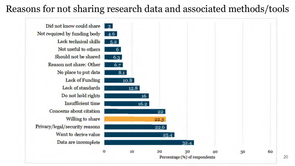#### Reasons for not sharing research data and associated methods/tools

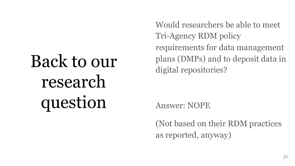# Back to our research question

Would researchers be able to meet Tri-Agency RDM policy requirements for data management plans (DMPs) and to deposit data in digital repositories?

Answer: NOPE

(Not based on their RDM practices as reported, anyway)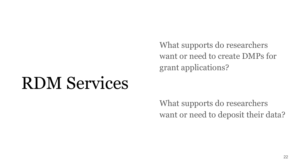want or need to create DMPs for grant applications?

## RDM Services

What supports do researchers want or need to deposit their data?

What supports do researchers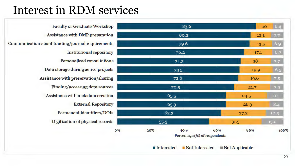#### Interest in RDM services

Faculty or Graduate Workshop Assistance with DMP preparation Communication about funding/journal requirements Institutional repository Personalized consultations Data storage during active projects Assistance with preservation/sharing Finding/accessing data sources Assistance with metadata creation **External Repository** Permanent identifiers/ DOis Digitization of physical records

|    | 83.6         |                                      | 10 <sub>o</sub> | 6.4  |
|----|--------------|--------------------------------------|-----------------|------|
|    | 80.2         |                                      | 12.1            | 77   |
|    | 79.6         |                                      | 13.5            | 6.9  |
|    | 76.2         |                                      | 17.1            | 6.7  |
|    | 74.3         |                                      | 18              | 7.7  |
|    | 73.5         |                                      | 19.9            | 6.5  |
|    | 72.8         |                                      | 19.6            | 7.5  |
|    | 70.5         |                                      | 21.7            | 7.9  |
|    | 65.5         |                                      | 24.5            | 10   |
|    | 65.3         |                                      | 26.3            | 8.4  |
|    | 62.3         |                                      | 27.2            | 10.5 |
|    | 55-3         |                                      | 31.5            | 13.2 |
| 0% | 40%<br>20%   | 60%<br>Percentage (%) of respondents | 80%             | 100% |
|    | ■ Interested | Not Interested                       | Not Applicable  |      |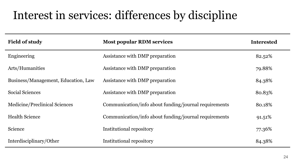#### Interest in services: differences by discipline

| <b>Field of study</b>               | <b>Most popular RDM services</b>                      | <b>Interested</b> |
|-------------------------------------|-------------------------------------------------------|-------------------|
| Engineering                         | Assistance with DMP preparation                       | 82.52%            |
| Arts/Humanities                     | Assistance with DMP preparation                       | 79.88%            |
| Business/Management, Education, Law | Assistance with DMP preparation                       | 84.38%            |
| <b>Social Sciences</b>              | Assistance with DMP preparation                       | 80.83%            |
| Medicine/Preclinical Sciences       | Communication/info about funding/journal requirements | 80.18%            |
| <b>Health Science</b>               | Communication/info about funding/journal requirements | 91.51%            |
| Science                             | Institutional repository                              | 77.36%            |
| Interdisciplinary/Other             | Institutional repository                              | 84.38%            |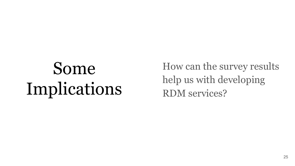# Some Implications

How can the survey results help us with developing RDM services?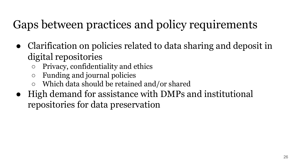### Gaps between practices and policy requirements

- Clarification on policies related to data sharing and deposit in digital repositories
	- Privacy, confidentiality and ethics
	- Funding and journal policies
	- Which data should be retained and/or shared
- High demand for assistance with DMPs and institutional repositories for data preservation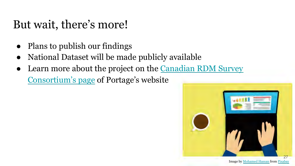#### But wait, there's more!

- Plans to publish our findings
- National Dataset will be made publicly available
- Learn more about the project on the Canadian RDM Survey Consortium's page of Portage's website